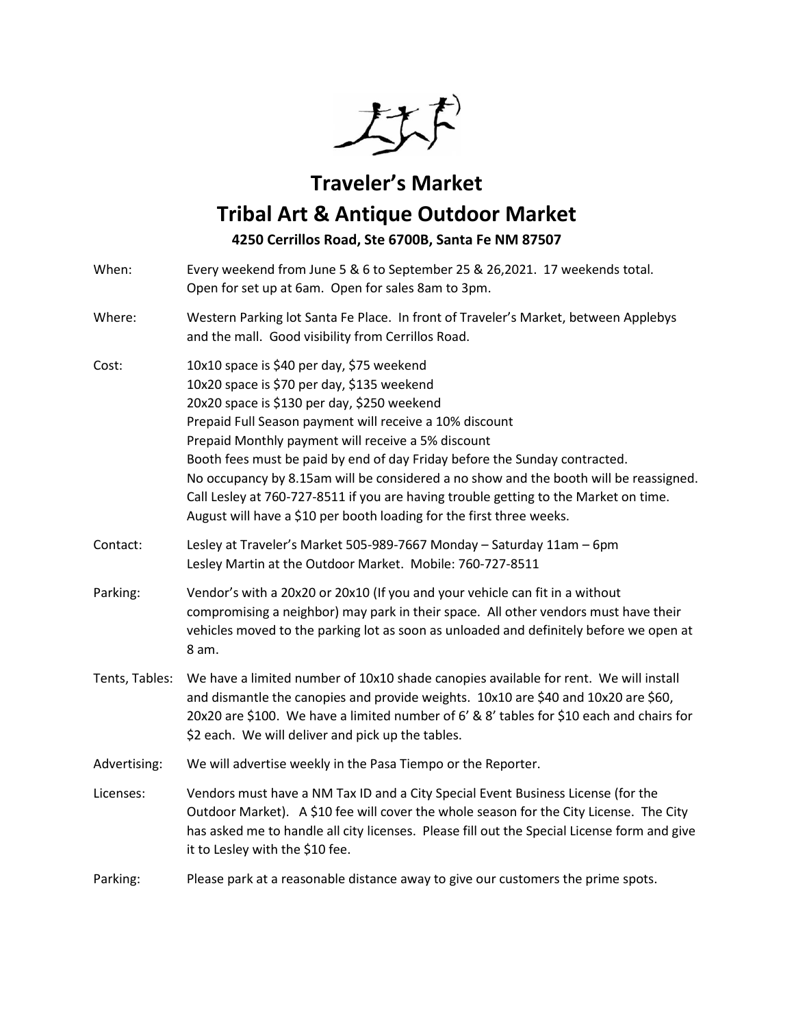

## **Traveler's Market**

## **Tribal Art & Antique Outdoor Market**

**4250 Cerrillos Road, Ste 6700B, Santa Fe NM 87507**

When: Every weekend from June 5 & 6 to September 25 & 26,2021. 17 weekends total. Open for set up at 6am. Open for sales 8am to 3pm. Where: Western Parking lot Santa Fe Place. In front of Traveler's Market, between Applebys and the mall. Good visibility from Cerrillos Road. Cost: 10x10 space is \$40 per day, \$75 weekend 10x20 space is \$70 per day, \$135 weekend 20x20 space is \$130 per day, \$250 weekend Prepaid Full Season payment will receive a 10% discount Prepaid Monthly payment will receive a 5% discount Booth fees must be paid by end of day Friday before the Sunday contracted. No occupancy by 8.15am will be considered a no show and the booth will be reassigned. Call Lesley at 760-727-8511 if you are having trouble getting to the Market on time. August will have a \$10 per booth loading for the first three weeks. Contact: Lesley at Traveler's Market 505-989-7667 Monday – Saturday 11am – 6pm Lesley Martin at the Outdoor Market. Mobile: 760-727-8511 Parking: Vendor's with a 20x20 or 20x10 (If you and your vehicle can fit in a without compromising a neighbor) may park in their space. All other vendors must have their vehicles moved to the parking lot as soon as unloaded and definitely before we open at 8 am. Tents, Tables: We have a limited number of 10x10 shade canopies available for rent. We will install and dismantle the canopies and provide weights. 10x10 are \$40 and 10x20 are \$60, 20x20 are \$100. We have a limited number of 6' & 8' tables for \$10 each and chairs for \$2 each. We will deliver and pick up the tables. Advertising: We will advertise weekly in the Pasa Tiempo or the Reporter. Licenses: Vendors must have a NM Tax ID and a City Special Event Business License (for the Outdoor Market). A \$10 fee will cover the whole season for the City License. The City has asked me to handle all city licenses. Please fill out the Special License form and give it to Lesley with the \$10 fee. Parking: Please park at a reasonable distance away to give our customers the prime spots.